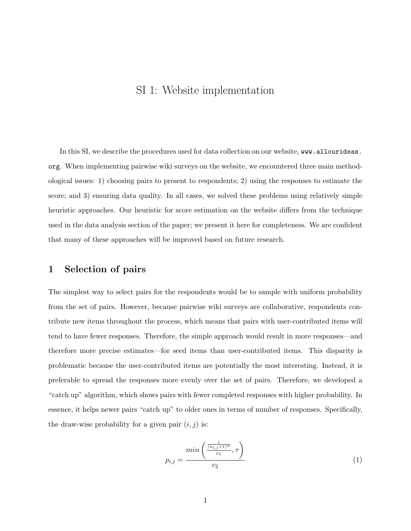# SI 1: Website implementation

In this SI, we describe the procedures used for data collection on our website, www.allourideas. org. When implementing pairwise wiki surveys on the website, we encountered three main methodological issues: 1) choosing pairs to present to respondents; 2) using the responses to estimate the score; and 3) ensuring data quality. In all cases, we solved these problems using relatively simple heuristic approaches. Our heuristic for score estimation on the website differs from the technique used in the data analysis section of the paper; we present it here for completeness. We are confident that many of these approaches will be improved based on future research.

#### 1 Selection of pairs

The simplest way to select pairs for the respondents would be to sample with uniform probability from the set of pairs. However, because pairwise wiki surveys are collaborative, respondents contribute new items throughout the process, which means that pairs with user-contributed items will tend to have fewer responses. Therefore, the simple approach would result in more responses—and therefore more precise estimates—for seed items than user-contributed items. This disparity is problematic because the user-contributed items are potentially the most interesting. Instead, it is preferable to spread the responses more evenly over the set of pairs. Therefore, we developed a "catch up" algorithm, which shows pairs with fewer completed responses with higher probability. In essence, it helps newer pairs "catch up" to older ones in terms of number of responses. Specifically, the draw-wise probability for a given pair  $(i, j)$  is:

$$
p_{i,j} = \frac{\min\left(\frac{\frac{1}{(n_{i,j}+1)^{\alpha}}}{c_1}, \tau\right)}{c_2} \tag{1}
$$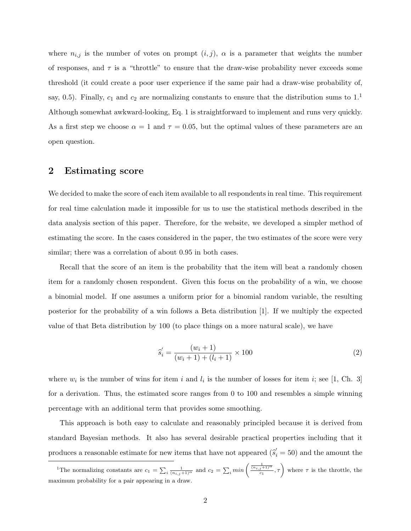where  $n_{i,j}$  is the number of votes on prompt  $(i, j)$ ,  $\alpha$  is a parameter that weights the number of responses, and  $\tau$  is a "throttle" to ensure that the draw-wise probability never exceeds some threshold (it could create a poor user experience if the same pair had a draw-wise probability of, say, 0.5). Finally,  $c_1$  and  $c_2$  are normalizing constants to ensure that the distribution sums to  $1<sup>1</sup>$ Although somewhat awkward-looking, Eq. 1 is straightforward to implement and runs very quickly. As a first step we choose  $\alpha = 1$  and  $\tau = 0.05$ , but the optimal values of these parameters are an open question.

#### 2 Estimating score

We decided to make the score of each item available to all respondents in real time. This requirement for real time calculation made it impossible for us to use the statistical methods described in the data analysis section of this paper. Therefore, for the website, we developed a simpler method of estimating the score. In the cases considered in the paper, the two estimates of the score were very similar; there was a correlation of about  $0.95$  in both cases.

Recall that the score of an item is the probability that the item will beat a randomly chosen item for a randomly chosen respondent. Given this focus on the probability of a win, we choose a binomial model. If one assumes a uniform prior for a binomial random variable, the resulting posterior for the probability of a win follows a Beta distribution [1]. If we multiply the expected value of that Beta distribution by 100 (to place things on a more natural scale), we have

$$
\hat{s}'_i = \frac{(w_i + 1)}{(w_i + 1) + (l_i + 1)} \times 100\tag{2}
$$

where  $w_i$  is the number of wins for item i and  $l_i$  is the number of losses for item i; see [1, Ch. 3] for a derivation. Thus, the estimated score ranges from 0 to 100 and resembles a simple winning percentage with an additional term that provides some smoothing.

This approach is both easy to calculate and reasonably principled because it is derived from standard Bayesian methods. It also has several desirable practical properties including that it produces a reasonable estimate for new items that have not appeared  $(\hat{s}_i' = 50)$  and the amount the

<sup>&</sup>lt;sup>1</sup>The normalizing constants are  $c_1 = \sum_i \frac{1}{(n_{i,j}+1)^\alpha}$  and  $c_2 = \sum_i \min\left(\frac{\frac{1}{(n_{i,j}+1)^\alpha}}{c_1}, \tau\right)$  where  $\tau$  is the throttle, the maximum probability for a pair appearing in a draw.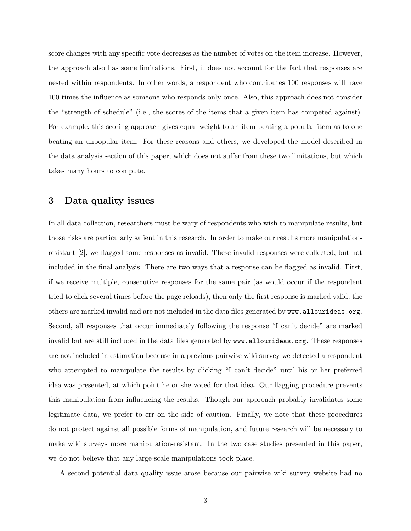score changes with any specific vote decreases as the number of votes on the item increase. However, the approach also has some limitations. First, it does not account for the fact that responses are nested within respondents. In other words, a respondent who contributes 100 responses will have 100 times the influence as someone who responds only once. Also, this approach does not consider the "strength of schedule" (i.e., the scores of the items that a given item has competed against). For example, this scoring approach gives equal weight to an item beating a popular item as to one beating an unpopular item. For these reasons and others, we developed the model described in the data analysis section of this paper, which does not suffer from these two limitations, but which takes many hours to compute.

### 3 Data quality issues

In all data collection, researchers must be wary of respondents who wish to manipulate results, but those risks are particularly salient in this research. In order to make our results more manipulationresistant [2], we flagged some responses as invalid. These invalid responses were collected, but not included in the final analysis. There are two ways that a response can be flagged as invalid. First, if we receive multiple, consecutive responses for the same pair (as would occur if the respondent tried to click several times before the page reloads), then only the first response is marked valid; the others are marked invalid and are not included in the data files generated by www.allourideas.org. Second, all responses that occur immediately following the response "I can't decide" are marked invalid but are still included in the data files generated by www.allourideas.org. These responses are not included in estimation because in a previous pairwise wiki survey we detected a respondent who attempted to manipulate the results by clicking "I can't decide" until his or her preferred idea was presented, at which point he or she voted for that idea. Our flagging procedure prevents this manipulation from influencing the results. Though our approach probably invalidates some legitimate data, we prefer to err on the side of caution. Finally, we note that these procedures do not protect against all possible forms of manipulation, and future research will be necessary to make wiki surveys more manipulation-resistant. In the two case studies presented in this paper, we do not believe that any large-scale manipulations took place.

A second potential data quality issue arose because our pairwise wiki survey website had no